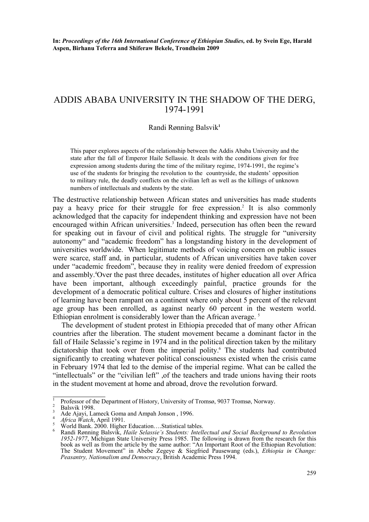**In:** *Proceedings of the 16th International Conference of Ethiopian Studies,* **ed. by Svein Ege, Harald Aspen, Birhanu Teferra and Shiferaw Bekele, Trondheim 2009** 

# ADDIS ABABA UNIVERSITY IN THE SHADOW OF THE DERG, 1974-1991

### Randi Rønning Balsvik**<sup>1</sup>**

This paper explores aspects of the relationship between the Addis Ababa University and the state after the fall of Emperor Haile Sellassie. It deals with the conditions given for free expression among students during the time of the military regime, 1974-1991, the regime's use of the students for bringing the revolution to the countryside, the students' opposition to military rule, the deadly conflicts on the civilian left as well as the killings of unknown numbers of intellectuals and students by the state.

The destructive relationship between African states and universities has made students pay a heavy price for their struggle for free expression.<sup>2</sup> It is also commonly acknowledged that the capacity for independent thinking and expression have not been encouraged within African universities.<sup>3</sup> Indeed, persecution has often been the reward for speaking out in favour of civil and political rights. The struggle for "university autonomy" and "academic freedom" has a longstanding history in the development of universities worldwide. When legitimate methods of voicing concern on public issues were scarce, staff and, in particular, students of African universities have taken cover under "academic freedom", because they in reality were denied freedom of expression and assembly.4 Over the past three decades, institutes of higher education all over Africa have been important, although exceedingly painful, practice grounds for the development of a democratic political culture. Crises and closures of higher institutions of learning have been rampant on a continent where only about 5 percent of the relevant age group has been enrolled, as against nearly 60 percent in the western world. Ethiopian enrolment is considerably lower than the African average.<sup>5</sup>

The development of student protest in Ethiopia preceded that of many other African countries after the liberation. The student movement became a dominant factor in the fall of Haile Selassie's regime in 1974 and in the political direction taken by the military dictatorship that took over from the imperial polity.<sup>6</sup> The students had contributed significantly to creating whatever political consciousness existed when the crisis came in February 1974 that led to the demise of the imperial regime. What can be called the "intellectuals" or the "civilian left", of the teachers and trade unions having their roots in the student movement at home and abroad, drove the revolution forward.

<sup>1</sup> Professor of the Department of History, University of Tromsø, 9037 Tromsø, Norway. 2

Balsvik 1998. 3

Ade Ajayi, Lameck Goma and Ampah Jonson , 1996.

<sup>4</sup> *Africa Watch*, April 1991. 5

World Bank. 2000. Higher Education....Statistical tables. 6

Randi Rønning Balsvik, *Haile Selassie's Students: Intellectual and Social Background to Revolution 1952-1977*, Michigan State University Press 1985. The following is drawn from the research for this book as well as from the article by the same author: "An Important Root of the Ethiopian Revolution: The Student Movement" in Abebe Zegeye & Siegfried Pausewang (eds.), *Ethiopia in Change: Peasantry, Nationalism and Democracy*, British Academic Press 1994.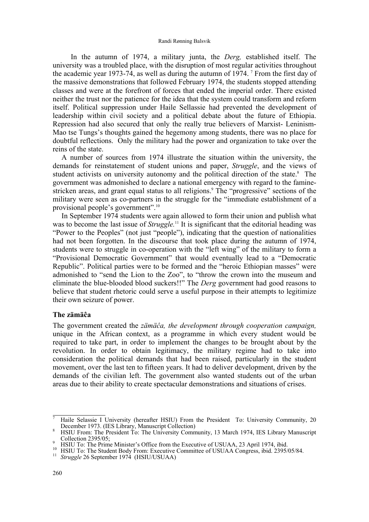#### Randi Rønning Balsvik

 In the autumn of 1974, a military junta, the *Derg,* established itself. The university was a troubled place, with the disruption of most regular activities throughout the academic year 1973-74, as well as during the autumn of 1974. <sup>7</sup> From the first day of the massive demonstrations that followed February 1974, the students stopped attending classes and were at the forefront of forces that ended the imperial order. There existed neither the trust nor the patience for the idea that the system could transform and reform itself. Political suppression under Haile Sellassie had prevented the development of leadership within civil society and a political debate about the future of Ethiopia. Repression had also secured that only the really true believers of Marxist- Leninism-Mao tse Tungs's thoughts gained the hegemony among students, there was no place for doubtful reflections. Only the military had the power and organization to take over the reins of the state.

A number of sources from 1974 illustrate the situation within the university, the demands for reinstatement of student unions and paper, *Struggle*, and the views of student activists on university autonomy and the political direction of the state.<sup>8</sup> The government was admonished to declare a national emergency with regard to the faminestricken areas, and grant equal status to all religions.<sup>9</sup> The "progressive" sections of the military were seen as co-partners in the struggle for the "immediate establishment of a provisional people's government".10

In September 1974 students were again allowed to form their union and publish what was to become the last issue of *Struggle*.<sup>11</sup> It is significant that the editorial heading was "Power to the Peoples" (not just "people"), indicating that the question of nationalities had not been forgotten. In the discourse that took place during the autumn of 1974, students were to struggle in co-operation with the "left wing" of the military to form a "Provisional Democratic Government" that would eventually lead to a "Democratic Republic". Political parties were to be formed and the "heroic Ethiopian masses" were admonished to "send the Lion to the Zoo", to "throw the crown into the museum and eliminate the blue-blooded blood suckers!!" The *Derg* government had good reasons to believe that student rhetoric could serve a useful purpose in their attempts to legitimize their own seizure of power.

### **The zämäĉa**

The government created the *zämäĉa, the development through cooperation campaign,*  unique in the African context, as a programme in which every student would be required to take part, in order to implement the changes to be brought about by the revolution. In order to obtain legitimacy, the military regime had to take into consideration the political demands that had been raised, particularly in the student movement, over the last ten to fifteen years. It had to deliver development, driven by the demands of the civilian left. The government also wanted students out of the urban areas due to their ability to create spectacular demonstrations and situations of crises.

<sup>7</sup> Haile Selassie I University (hereafter HSIU) From the President To: University Community, 20 December 1973. (IES Library, Manuscript Collection)

HSIU From: The President To: The University Community, 13 March 1974, IES Library Manuscript Collection 2395/05;<br>HSIU To: The Prime Minister's Office from the Executive of USUAA, 23 April 1974, ibid.

<sup>&</sup>lt;sup>10</sup> HSIU To: The Student Body From: Executive Committee of USUAA Congress, ibid. 2395/05/84.<br><sup>11</sup> Struggle 26 September 1974 (HSIU/USUAA)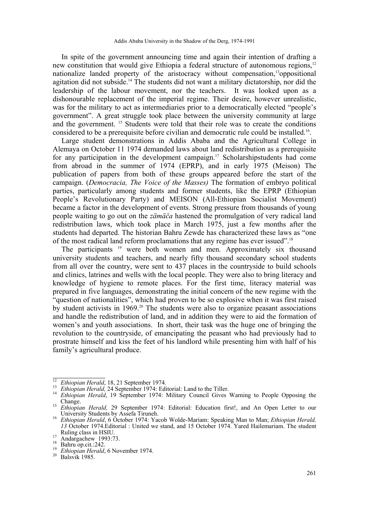In spite of the government announcing time and again their intention of drafting a new constitution that would give Ethiopia a federal structure of autonomous regions,<sup>12</sup> nationalize landed property of the aristocracy without compensation,<sup>13</sup>oppositional agitation did not subside.<sup>14</sup> The students did not want a military dictatorship, nor did the leadership of the labour movement, nor the teachers. It was looked upon as a dishonourable replacement of the imperial regime. Their desire, however unrealistic, was for the military to act as intermediaries prior to a democratically elected "people's government". A great struggle took place between the university community at large and the government. 15 Students were told that their role was to create the conditions considered to be a prerequisite before civilian and democratic rule could be installed.16.

Large student demonstrations in Addis Ababa and the Agricultural College in Alemaya on October 11 1974 demanded laws about land redistribution as a prerequisite for any participation in the development campaign.<sup>17</sup> Scholarshipstudents had come from abroad in the summer of 1974 (EPRP), and in early 1975 (Meison) The publication of papers from both of these groups appeared before the start of the campaign. (*Democracia, The Voice of the Masses)* The formation of embryo political parties, particularly among students and former students, like the EPRP (Ethiopian People's Revolutionary Party) and MEISON (All-Ethiopian Socialist Movement) became a factor in the development of events. Strong pressure from thousands of young people waiting to go out on the *zämäča* hastened the promulgation of very radical land redistribution laws, which took place in March 1975, just a few months after the students had departed. The historian Bahru Zewde has characterized these laws as "one of the most radical land reform proclamations that any regime has ever issued".18

The participants 19 were both women and men. Approximately six thousand university students and teachers, and nearly fifty thousand secondary school students from all over the country, were sent to 437 places in the countryside to build schools and clinics, latrines and wells with the local people. They were also to bring literacy and knowledge of hygiene to remote places. For the first time, literacy material was prepared in five languages, demonstrating the initial concern of the new regime with the "question of nationalities", which had proven to be so explosive when it was first raised by student activists in 1969.<sup>20</sup> The students were also to organize peasant associations and handle the redistribution of land, and in addition they were to aid the formation of women's and youth associations. In short, their task was the huge one of bringing the revolution to the countryside, of emancipating the peasant who had previously had to prostrate himself and kiss the feet of his landlord while presenting him with half of his family's agricultural produce.

<sup>&</sup>lt;sup>12</sup> Ethiopian Herald, 18, 21 September 1974.<br><sup>13</sup> Ethiopian Herald, 24 September 1974: Editorial: Land to the Tiller.<br><sup>14</sup> Ethiopian Herald, 19 September 1974: Military Council Gives Warning to People Opposing the<br>Change

<sup>&</sup>lt;sup>15</sup> *Ethiopian Herald,* 29 September 1974: Editorial: Education first!, and An Open Letter to our

University Students by Assefa Tiruneh. 16 *Ethiopian Herald*, 6 October 1974: Yacob Wolde-Mariam: Speaking Man to Man; *Ethiopian Herald, 13* October 1974.Editorial : United we stand, and 15 October 1974. Yared Hailemariam. The student Ruling class in HSIU.<br><sup>17</sup> Andargachew 1993:73.<br><sup>18</sup> Bahru op.cit.:242.<br><sup>19</sup> *Ethiopian Herald*, 6 November 1974.<br><sup>20</sup> Balsvik 1985.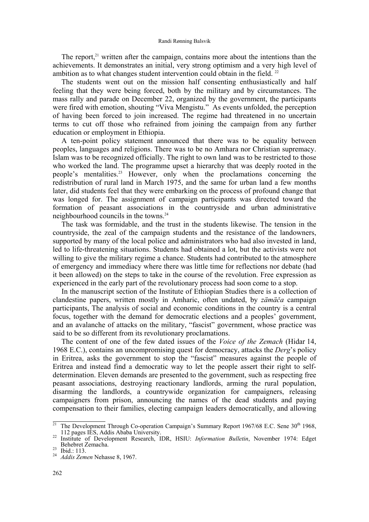#### Randi Rønning Balsvik

The report, $2<sup>1</sup>$  written after the campaign, contains more about the intentions than the achievements. It demonstrates an initial, very strong optimism and a very high level of ambition as to what changes student intervention could obtain in the field.  $^{22}$ 

The students went out on the mission half consenting enthusiastically and half feeling that they were being forced, both by the military and by circumstances. The mass rally and parade on December 22, organized by the government, the participants were fired with emotion, shouting "Viva Mengistu." As events unfolded, the perception of having been forced to join increased. The regime had threatened in no uncertain terms to cut off those who refrained from joining the campaign from any further education or employment in Ethiopia.

A ten-point policy statement announced that there was to be equality between peoples, languages and religions. There was to be no Amhara nor Christian supremacy. Islam was to be recognized officially. The right to own land was to be restricted to those who worked the land. The programme upset a hierarchy that was deeply rooted in the people's mentalities.23 However, only when the proclamations concerning the redistribution of rural land in March 1975, and the same for urban land a few months later, did students feel that they were embarking on the process of profound change that was longed for. The assignment of campaign participants was directed toward the formation of peasant associations in the countryside and urban administrative neighbourhood councils in the towns.24

The task was formidable, and the trust in the students likewise. The tension in the countryside, the zeal of the campaign students and the resistance of the landowners, supported by many of the local police and administrators who had also invested in land, led to life-threatening situations. Students had obtained a lot, but the activists were not willing to give the military regime a chance. Students had contributed to the atmosphere of emergency and immediacy where there was little time for reflections nor debate (had it been allowed) on the steps to take in the course of the revolution. Free expression as experienced in the early part of the revolutionary process had soon come to a stop.

In the manuscript section of the Institute of Ethiopian Studies there is a collection of clandestine papers, written mostly in Amharic, often undated, by *zämäča* campaign participants, The analysis of social and economic conditions in the country is a central focus, together with the demand for democratic elections and a peoples' government, and an avalanche of attacks on the military, "fascist" government, whose practice was said to be so different from its revolutionary proclamations.

The content of one of the few dated issues of the *Voice of the Zemach* (Hidar 14, 1968 E.C.), contains an uncompromising quest for democracy, attacks the *Derg*'s policy in Eritrea, asks the government to stop the "fascist" measures against the people of Eritrea and instead find a democratic way to let the people assert their right to selfdetermination. Eleven demands are presented to the government, such as respecting free peasant associations, destroying reactionary landlords, arming the rural population, disarming the landlords, a countrywide organization for campaigners, releasing campaigners from prison, announcing the names of the dead students and paying compensation to their families, electing campaign leaders democratically, and allowing

<sup>&</sup>lt;sup>21</sup> The Development Through Co-operation Campaign's Summary Report 1967/68 E.C. Sene  $30<sup>th</sup>$  1968, 112 pages IES, Addis Ababa University.

<sup>112</sup> pages IES, Addis Ababa University. 22 Institute of Development Research, IDR, HSIU: *Information Bulletin*, November 1974: Edget Behebret Zemacha. 23 Ibid.: 113. 24 *Addis Zemen* Nehasse 8, 1967.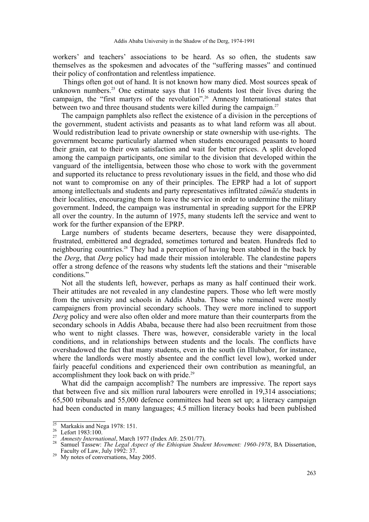workers' and teachers' associations to be heard. As so often, the students saw themselves as the spokesmen and advocates of the "suffering masses" and continued their policy of confrontation and relentless impatience.

 Things often got out of hand. It is not known how many died. Most sources speak of unknown numbers.<sup>25</sup> One estimate says that  $116$  students lost their lives during the campaign, the "first martyrs of the revolution".26 Amnesty International states that between two and three thousand students were killed during the campaign.<sup>27</sup>

The campaign pamphlets also reflect the existence of a division in the perceptions of the government, student activists and peasants as to what land reform was all about. Would redistribution lead to private ownership or state ownership with use-rights. The government became particularly alarmed when students encouraged peasants to hoard their grain, eat to their own satisfaction and wait for better prices. A split developed among the campaign participants, one similar to the division that developed within the vanguard of the intelligentsia, between those who chose to work with the government and supported its reluctance to press revolutionary issues in the field, and those who did not want to compromise on any of their principles. The EPRP had a lot of support among intellectuals and students and party representatives infiltrated *zämäča* students in their localities, encouraging them to leave the service in order to undermine the military government. Indeed, the campaign was instrumental in spreading support for the EPRP all over the country. In the autumn of 1975, many students left the service and went to work for the further expansion of the EPRP.

Large numbers of students became deserters, because they were disappointed, frustrated, embittered and degraded, sometimes tortured and beaten. Hundreds fled to neighbouring countries.28 They had a perception of having been stabbed in the back by the *Derg*, that *Derg* policy had made their mission intolerable. The clandestine papers offer a strong defence of the reasons why students left the stations and their "miserable conditions."

Not all the students left, however, perhaps as many as half continued their work. Their attitudes are not revealed in any clandestine papers. Those who left were mostly from the university and schools in Addis Ababa. Those who remained were mostly campaigners from provincial secondary schools. They were more inclined to support *Derg* policy and were also often older and more mature than their counterparts from the secondary schools in Addis Ababa, because there had also been recruitment from those who went to night classes. There was, however, considerable variety in the local conditions, and in relationships between students and the locals. The conflicts have overshadowed the fact that many students, even in the south (in Illubabor, for instance, where the landlords were mostly absentee and the conflict level low), worked under fairly peaceful conditions and experienced their own contribution as meaningful, an accomplishment they look back on with pride.<sup>29</sup>

What did the campaign accomplish? The numbers are impressive. The report says that between five and six million rural labourers were enrolled in 19,314 associations; 65,500 tribunals and 55,000 defence committees had been set up; a literacy campaign had been conducted in many languages; 4.5 million literacy books had been published

<sup>&</sup>lt;sup>25</sup> Markakis and Nega 1978: 151.<br>
<sup>26</sup> Lefort 1983:100.<br>
<sup>27</sup> *Amnesty International*, March 1977 (Index Afr. 25/01/77).<br>
<sup>28</sup> Samuel Tassew: *The Legal Aspect of the Ethiopian Student Movement: 1960-1978*, BA Dissertatio

 $\frac{29}{29}$  My notes of conversations, May 2005.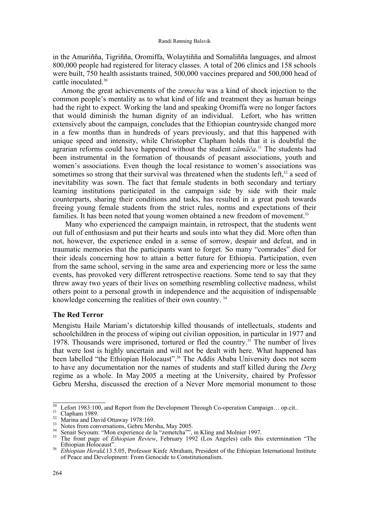in the Amariñña, Tigriñña, Oromiffa, Wolaytiñña and Somaliñña languages, and almost 800,000 people had registered for literacy classes. A total of 206 clinics and 158 schools were built, 750 health assistants trained, 500,000 vaccines prepared and 500,000 head of cattle inoculated.30

Among the great achievements of the *zemecha* was a kind of shock injection to the common people's mentality as to what kind of life and treatment they as human beings had the right to expect. Working the land and speaking Oromiffa were no longer factors that would diminish the human dignity of an individual. Lefort, who has written extensively about the campaign, concludes that the Ethiopian countryside changed more in a few months than in hundreds of years previously, and that this happened with unique speed and intensity, while Christopher Clapham holds that it is doubtful the agrarian reforms could have happened without the student *zämäča*. 31 The students had been instrumental in the formation of thousands of peasant associations, youth and women's associations. Even though the local resistance to women's associations was sometimes so strong that their survival was threatened when the students left, $32$  a seed of inevitability was sown. The fact that female students in both secondary and tertiary learning institutions participated in the campaign side by side with their male counterparts, sharing their conditions and tasks, has resulted in a great push towards freeing young female students from the strict rules, norms and expectations of their families. It has been noted that young women obtained a new freedom of movement.<sup>33</sup>

 Many who experienced the campaign maintain, in retrospect, that the students went out full of enthusiasm and put their hearts and souls into what they did. More often than not, however, the experience ended in a sense of sorrow, despair and defeat, and in traumatic memories that the participants want to forget. So many "comrades" died for their ideals concerning how to attain a better future for Ethiopia. Participation, even from the same school, serving in the same area and experiencing more or less the same events, has provoked very different retrospective reactions. Some tend to say that they threw away two years of their lives on something resembling collective madness, whilst others point to a personal growth in independence and the acquisition of indispensable knowledge concerning the realities of their own country.<sup>34</sup>

# **The Red Terror**

Mengistu Haile Mariam's dictatorship killed thousands of intellectuals, students and schoolchildren in the process of wiping out civilian opposition, in particular in 1977 and 1978. Thousands were imprisoned, tortured or fled the country.35 The number of lives that were lost is highly uncertain and will not be dealt with here. What happened has been labelled "the Ethiopian Holocaust".<sup>36</sup> The Addis Ababa University does not seem to have any documentation nor the names of students and staff killed during the *Derg* regime as a whole. In May 2005 a meeting at the University, chaired by Professor Gebru Mersha, discussed the erection of a Never More memorial monument to those

<sup>&</sup>lt;sup>30</sup> Lefort 1983:100, and Report from the Development Through Co-operation Campaign... op.cit..<br>
<sup>31</sup> Clapham 1989.<br>
Marina and David Ottaway 1978:169.<br>
Notes from conversations, Gebru Mersha, May 2005.<br>
<sup>34</sup> Senait Seyou

<sup>&</sup>lt;sup>36</sup> *Ethiopian Herald,*13.5.05, Professor Kinfe Abraham, President of the Ethiopian International Institute of Peace and Development: From Genocide to Constitutionalism.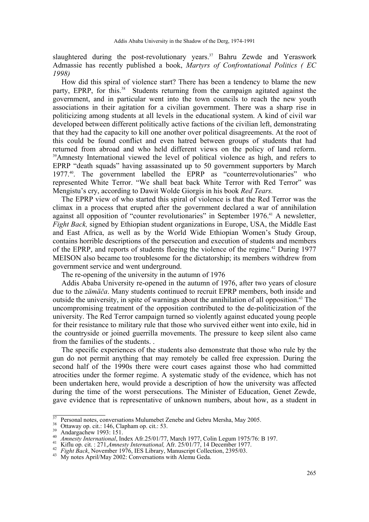slaughtered during the post-revolutionary years. $37$  Bahru Zewde and Yeraswork Admassie has recently published a book, *Martyrs of Confrontational Politics ( EC 1998)*

How did this spiral of violence start? There has been a tendency to blame the new party, EPRP, for this.<sup>38</sup> Students returning from the campaign agitated against the government, and in particular went into the town councils to reach the new youth associations in their agitation for a civilian government. There was a sharp rise in politicizing among students at all levels in the educational system. A kind of civil war developed between different politically active factions of the civilian left, demonstrating that they had the capacity to kill one another over political disagreements. At the root of this could be found conflict and even hatred between groups of students that had returned from abroad and who held different views on the policy of land reform. 39Amnesty International viewed the level of political violence as high, and refers to EPRP "death squads" having assassinated up to 50 government supporters by March 1977.40. The government labelled the EPRP as "counterrevolutionaries" who represented White Terror. "We shall beat back White Terror with Red Terror" was Mengistu's cry, according to Dawit Wolde Giorgis in his book *Red Tears.*

The EPRP view of who started this spiral of violence is that the Red Terror was the climax in a process that erupted after the government declared a war of annihilation against all opposition of "counter revolutionaries" in September 1976.<sup>41</sup> A newsletter, *Fight Back,* signed by Ethiopian student organizations in Europe, USA, the Middle East and East Africa, as well as by the World Wide Ethiopian Women's Study Group, contains horrible descriptions of the persecution and execution of students and members of the EPRP, and reports of students fleeing the violence of the regime.<sup>42</sup> During 1977 MEISON also became too troublesome for the dictatorship; its members withdrew from government service and went underground.

The re-opening of the university in the autumn of 1976

Addis Ababa University re-opened in the autumn of 1976, after two years of closure due to the *zämäča*. Many students continued to recruit EPRP members, both inside and outside the university, in spite of warnings about the annihilation of all opposition.<sup>43</sup> The uncompromising treatment of the opposition contributed to the de-politicization of the university. The Red Terror campaign turned so violently against educated young people for their resistance to military rule that those who survived either went into exile, hid in the countryside or joined guerrilla movements. The pressure to keep silent also came from the families of the students. .

The specific experiences of the students also demonstrate that those who rule by the gun do not permit anything that may remotely be called free expression. During the second half of the 1990s there were court cases against those who had committed atrocities under the former regime. A systematic study of the evidence, which has not been undertaken here, would provide a description of how the university was affected during the time of the worst persecutions. The Minister of Education, Genet Zewde, gave evidence that is representative of unknown numbers, about how, as a student in

<sup>&</sup>lt;sup>37</sup> Personal notes, conversations Mulumebet Zenebe and Gebru Mersha, May 2005.<br>
Ottaway op. cit.: 146, Clapham op. cit.: 53.<br>
Andargachew 1993: 151.<br> *Amnesty International*, Index Afr.25/01/77, March 1977, Colin Legum 1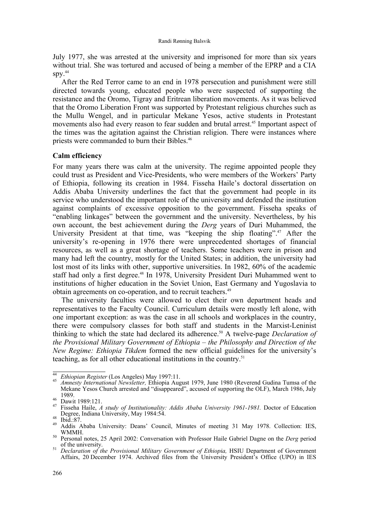#### Randi Rønning Balsvik

July 1977, she was arrested at the university and imprisoned for more than six years without trial. She was tortured and accused of being a member of the EPRP and a CIA  $SDV.<sup>44</sup>$ 

After the Red Terror came to an end in 1978 persecution and punishment were still directed towards young, educated people who were suspected of supporting the resistance and the Oromo, Tigray and Eritrean liberation movements. As it was believed that the Oromo Liberation Front was supported by Protestant religious churches such as the Mullu Wengel, and in particular Mekane Yesos, active students in Protestant movements also had every reason to fear sudden and brutal arrest.<sup>45</sup> Important aspect of the times was the agitation against the Christian religion. There were instances where priests were commanded to burn their Bibles.<sup>46</sup>

# **Calm efficiency**

For many years there was calm at the university. The regime appointed people they could trust as President and Vice-Presidents, who were members of the Workers' Party of Ethiopia, following its creation in 1984. Fisseha Haile's doctoral dissertation on Addis Ababa University underlines the fact that the government had people in its service who understood the important role of the university and defended the institution against complaints of excessive opposition to the government. Fisseha speaks of "enabling linkages" between the government and the university. Nevertheless, by his own account, the best achievement during the *Derg* years of Duri Muhammed, the University President at that time, was "keeping the ship floating".<sup>47</sup> After the university's re-opening in 1976 there were unprecedented shortages of financial resources, as well as a great shortage of teachers. Some teachers were in prison and many had left the country, mostly for the United States; in addition, the university had lost most of its links with other, supportive universities. In 1982, 60% of the academic staff had only a first degree.<sup>48</sup> In 1978, University President Duri Muhammed went to institutions of higher education in the Soviet Union, East Germany and Yugoslavia to obtain agreements on co-operation, and to recruit teachers.<sup>49</sup>

The university faculties were allowed to elect their own department heads and representatives to the Faculty Council. Curriculum details were mostly left alone, with one important exception: as was the case in all schools and workplaces in the country, there were compulsory classes for both staff and students in the Marxist-Leninist thinking to which the state had declared its adherence.<sup>50</sup> A twelve-page *Declaration of the Provisional Military Government of Ethiopia – the Philosophy and Direction of the New Regime: Ethiopia Tikdem* formed the new official guidelines for the university's teaching, as for all other educational institutions in the country.51

<sup>44</sup>*Ethiopian Register* (Los Angeles) May 1997:11. 45 *Amnesty International Newsletter,* Ethiopia August 1979, June 1980 (Reverend Gudina Tumsa of the Mekane Yesos Church arrested and "disappeared", accused of supporting the OLF), March 1986, July 1989. 46 Dawit 1989:121. 47 Fisseha Haile, *A study of Institutionality: Addis Ababa University 1961-1981.* Doctor of Education

Degree, Indiana University, May 1984:54.<br><sup>48</sup> Ibid.:87.<br><sup>49</sup> Addis Ababa University: Deans' Council, Minutes of meeting 31 May 1978. Collection: IES,

WMMH. 50 Personal notes, 25 April 2002: Conversation with Professor Haile Gabriel Dagne on the *Derg* period <sup>51</sup> Declaration of the Provisional Military Government of Ethiopia, HSIU Department of Government

Affairs, 20 December 1974. Archived files from the University President's Office (UPO) in IES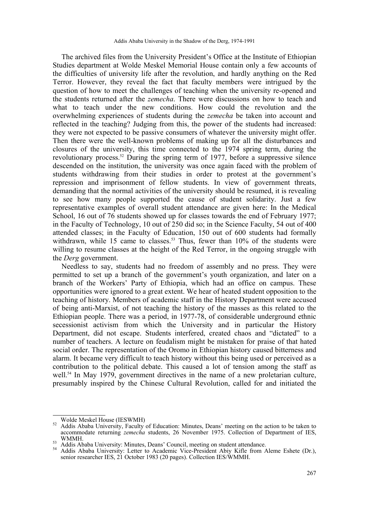The archived files from the University President's Office at the Institute of Ethiopian Studies department at Wolde Meskel Memorial House contain only a few accounts of the difficulties of university life after the revolution, and hardly anything on the Red Terror. However, they reveal the fact that faculty members were intrigued by the question of how to meet the challenges of teaching when the university re-opened and the students returned after the *zemecha*. There were discussions on how to teach and what to teach under the new conditions. How could the revolution and the overwhelming experiences of students during the *zemecha* be taken into account and reflected in the teaching? Judging from this, the power of the students had increased: they were not expected to be passive consumers of whatever the university might offer. Then there were the well-known problems of making up for all the disturbances and closures of the university, this time connected to the 1974 spring term, during the revolutionary process.<sup>52</sup> During the spring term of 1977, before a suppressive silence descended on the institution, the university was once again faced with the problem of students withdrawing from their studies in order to protest at the government's repression and imprisonment of fellow students. In view of government threats, demanding that the normal activities of the university should be resumed, it is revealing to see how many people supported the cause of student solidarity. Just a few representative examples of overall student attendance are given here: In the Medical School, 16 out of 76 students showed up for classes towards the end of February 1977; in the Faculty of Technology, 10 out of 250 did so; in the Science Faculty, 54 out of 400 attended classes; in the Faculty of Education, 150 out of 600 students had formally withdrawn, while 15 came to classes.<sup>53</sup> Thus, fewer than  $10\%$  of the students were willing to resume classes at the height of the Red Terror, in the ongoing struggle with the *Derg* government.

Needless to say, students had no freedom of assembly and no press. They were permitted to set up a branch of the government's youth organization, and later on a branch of the Workers' Party of Ethiopia, which had an office on campus. These opportunities were ignored to a great extent. We hear of heated student opposition to the teaching of history. Members of academic staff in the History Department were accused of being anti-Marxist, of not teaching the history of the masses as this related to the Ethiopian people. There was a period, in 1977-78, of considerable underground ethnic secessionist activism from which the University and in particular the History Department, did not escape. Students interfered, created chaos and "dictated" to a number of teachers. A lecture on feudalism might be mistaken for praise of that hated social order. The representation of the Oromo in Ethiopian history caused bitterness and alarm. It became very difficult to teach history without this being used or perceived as a contribution to the political debate. This caused a lot of tension among the staff as well.<sup>54</sup> In May 1979, government directives in the name of a new proletarian culture, presumably inspired by the Chinese Cultural Revolution, called for and initiated the

<sup>&</sup>lt;sup>52</sup> Addis Ababa University, Faculty of Education: Minutes, Deans' meeting on the action to be taken to <br><sup>52</sup> Addis Ababa University, Faculty of Education: Minutes, Deans' meeting on the action to be taken to accommodate returning *zemecha* students, 26 November 1975. Collection of Department of IES,

<sup>&</sup>lt;sup>53</sup> Addis Ababa University: Minutes, Deans' Council, meeting on student attendance.<br><sup>54</sup> Addis Ababa University: Letter to Academic Vice-President Abiy Kifle from Aleme Eshete (Dr.), senior researcher IES, 21 October 1983 (20 pages). Collection IES/WMMH.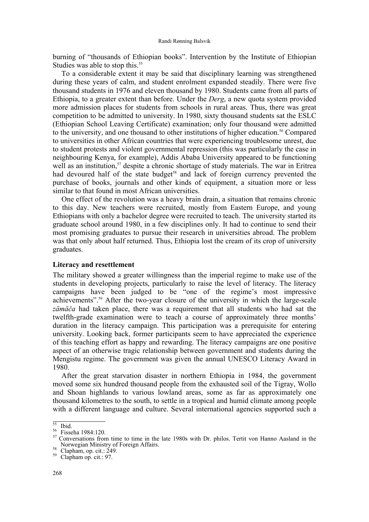burning of "thousands of Ethiopian books". Intervention by the Institute of Ethiopian Studies was able to stop this.<sup>55</sup>

To a considerable extent it may be said that disciplinary learning was strengthened during these years of calm, and student enrolment expanded steadily. There were five thousand students in 1976 and eleven thousand by 1980. Students came from all parts of Ethiopia, to a greater extent than before. Under the *Derg*, a new quota system provided more admission places for students from schools in rural areas. Thus, there was great competition to be admitted to university. In 1980, sixty thousand students sat the ESLC (Ethiopian School Leaving Certificate) examination; only four thousand were admitted to the university, and one thousand to other institutions of higher education.<sup>56</sup> Compared to universities in other African countries that were experiencing troublesome unrest, due to student protests and violent governmental repression (this was particularly the case in neighbouring Kenya, for example), Addis Ababa University appeared to be functioning well as an institution,<sup>57</sup> despite a chronic shortage of study materials. The war in Eritrea had devoured half of the state budget<sup>58</sup> and lack of foreign currency prevented the purchase of books, journals and other kinds of equipment, a situation more or less similar to that found in most African universities.

One effect of the revolution was a heavy brain drain, a situation that remains chronic to this day. New teachers were recruited, mostly from Eastern Europe, and young Ethiopians with only a bachelor degree were recruited to teach. The university started its graduate school around 1980, in a few disciplines only. It had to continue to send their most promising graduates to pursue their research in universities abroad. The problem was that only about half returned. Thus, Ethiopia lost the cream of its crop of university graduates.

# **Literacy and resettlement**

The military showed a greater willingness than the imperial regime to make use of the students in developing projects, particularly to raise the level of literacy. The literacy campaigns have been judged to be "one of the regime's most impressive achievements".59 After the two-year closure of the university in which the large-scale *zämäča* had taken place, there was a requirement that all students who had sat the twelfth-grade examination were to teach a course of approximately three months' duration in the literacy campaign. This participation was a prerequisite for entering university. Looking back, former participants seem to have appreciated the experience of this teaching effort as happy and rewarding. The literacy campaigns are one positive aspect of an otherwise tragic relationship between government and students during the Mengistu regime. The government was given the annual UNESCO Literacy Award in 1980.

After the great starvation disaster in northern Ethiopia in 1984, the government moved some six hundred thousand people from the exhausted soil of the Tigray, Wollo and Shoan highlands to various lowland areas, some as far as approximately one thousand kilometres to the south, to settle in a tropical and humid climate among people with a different language and culture. Several international agencies supported such a

 $\frac{55}{55}$  Ibid.<br><sup>56</sup> Fisseha 1984:120.<br><sup>57</sup> Conversations from time to time in the late 1980s with Dr. philos. Tertit von Hanno Aasland in the Norwegian Ministry of Foreign Affairs.<br>
Clapham, op. cit.: 249.<br>
Clapham op. cit.: 97.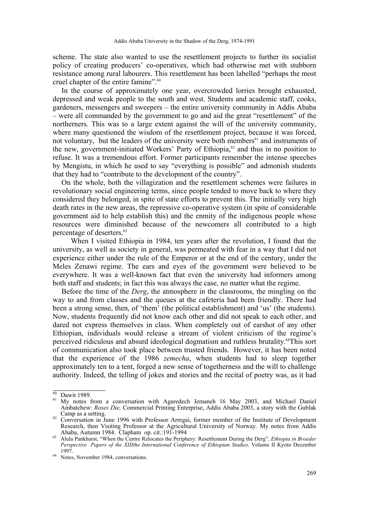scheme. The state also wanted to use the resettlement projects to further its socialist policy of creating producers' co-operatives, which had otherwise met with stubborn resistance among rural labourers. This resettlement has been labelled "perhaps the most cruel chapter of the entire famine".<sup>60</sup>

In the course of approximately one year, overcrowded lorries brought exhausted, depressed and weak people to the south and west. Students and academic staff, cooks, gardeners, messengers and sweepers – the entire university community in Addis Ababa – were all commanded by the government to go and aid the great "resettlement" of the northerners. This was to a large extent against the will of the university community, where many questioned the wisdom of the resettlement project, because it was forced, not voluntary, but the leaders of the university were both members<sup>61</sup> and instruments of the new, government-initiated Workers' Party of Ethiopia,<sup>62</sup> and thus in no position to refuse. It was a tremendous effort. Former participants remember the intense speeches by Mengistu, in which he used to say "everything is possible" and admonish students that they had to "contribute to the development of the country".

On the whole, both the villagization and the resettlement schemes were failures in revolutionary social engineering terms, since people tended to move back to where they considered they belonged, in spite of state efforts to prevent this. The initially very high death rates in the new areas, the repressive co-operative system (in spite of considerable government aid to help establish this) and the enmity of the indigenous people whose resources were diminished because of the newcomers all contributed to a high percentage of deserters.<sup>63</sup>

When I visited Ethiopia in 1984, ten years after the revolution, I found that the university, as well as society in general, was permeated with fear in a way that I did not experience either under the rule of the Emperor or at the end of the century, under the Meles Zenawi regime. The ears and eyes of the government were believed to be everywhere. It was a well-known fact that even the university had informers among both staff and students; in fact this was always the case, no matter what the regime.

Before the time of the *Derg*, the atmosphere in the classrooms, the mingling on the way to and from classes and the queues at the cafeteria had been friendly. There had been a strong sense, then, of 'them' (the political establishment) and 'us' (the students). Now, students frequently did not know each other and did not speak to each other, and dared not express themselves in class. When completely out of earshot of any other Ethiopian, individuals would release a stream of violent criticism of the regime's perceived ridiculous and absurd ideological dogmatism and ruthless brutality.<sup>64</sup>This sort of communication also took place between trusted friends. However, it has been noted that the experience of the 1986 *zemecha*, when students had to sleep together approximately ten to a tent, forged a new sense of togetherness and the will to challenge authority. Indeed, the telling of jokes and stories and the recital of poetry was, as it had

 $\frac{60}{61}$  Dawit 1989.<br><sup>61</sup> My notes from a conversation with Agaredech Jemaneh 16 May 2003, and Michael Daniel Ambatchew: *Roses Die,* Commercial Printing Enterprise, Addis Ababa 2003, a story with the Gublak <sup>62</sup> Conversation in June 1996 with Professor Arregai, former member of the Institute of Development

Research, then Visiting Professor at the Agricultural University of Norway. My notes from Addis Ababa, Autumn 1984. Clapham op. cit.:191-1994 63 Alula Pankhurst, "When the Centre Relocates the Periphery: Resettlement During the Derg", *Ethiopia in Broader* 

*Perspective Papers of the XIIIthe International Conference of Ethiopian Studies, Volume II Kyoto December* 1997. 64 Notes, November 1984, conversations.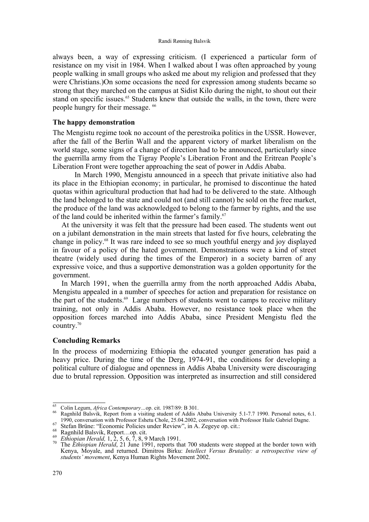always been, a way of expressing criticism. (I experienced a particular form of resistance on my visit in 1984. When I walked about I was often approached by young people walking in small groups who asked me about my religion and professed that they were Christians.)On some occasions the need for expression among students became so strong that they marched on the campus at Sidist Kilo during the night, to shout out their stand on specific issues.<sup>65</sup> Students knew that outside the walls, in the town, there were people hungry for their message. 66

### **The happy demonstration**

The Mengistu regime took no account of the perestroika politics in the USSR. However, after the fall of the Berlin Wall and the apparent victory of market liberalism on the world stage, some signs of a change of direction had to be announced, particularly since the guerrilla army from the Tigray People's Liberation Front and the Eritrean People's Liberation Front were together approaching the seat of power in Addis Ababa.

 In March 1990, Mengistu announced in a speech that private initiative also had its place in the Ethiopian economy; in particular, he promised to discontinue the hated quotas within agricultural production that had had to be delivered to the state. Although the land belonged to the state and could not (and still cannot) be sold on the free market, the produce of the land was acknowledged to belong to the farmer by rights, and the use of the land could be inherited within the farmer's family.<sup>67</sup>

At the university it was felt that the pressure had been eased. The students went out on a jubilant demonstration in the main streets that lasted for five hours, celebrating the change in policy.68 It was rare indeed to see so much youthful energy and joy displayed in favour of a policy of the hated government. Demonstrations were a kind of street theatre (widely used during the times of the Emperor) in a society barren of any expressive voice, and thus a supportive demonstration was a golden opportunity for the government.

In March 1991, when the guerrilla army from the north approached Addis Ababa, Mengistu appealed in a number of speeches for action and preparation for resistance on the part of the students.<sup>69</sup> Large numbers of students went to camps to receive military training, not only in Addis Ababa. However, no resistance took place when the opposition forces marched into Addis Ababa, since President Mengistu fled the country.70

### **Concluding Remarks**

In the process of modernizing Ethiopia the educated younger generation has paid a heavy price. During the time of the Derg, 1974-91, the conditions for developing a political culture of dialogue and openness in Addis Ababa University were discouraging due to brutal repression. Opposition was interpreted as insurrection and still considered

<sup>&</sup>lt;sup>65</sup> Colin Legum, *Africa Contemporary*...op. cit. 1987/89: B 301.<br><sup>66</sup> Ragnhild Balsvik, Report from a visiting student of Addis Ababa University 5.1-7.7 1990. Personal notes, 6.1.

<sup>1990,</sup> conversation with Professor Eshetu Chole, 25.04.2002, conversation with Professor Haile Gabriel Dagne.<br>
Stefan Brüne: "Economic Policies under Review", in A. Zegeye op. cit.:<br>
<sup>69</sup> Ragnhild Balsvik, Report...op. cit Kenya, Moyale, and returned. Dimitros Birku: *Intellect Versus Brutality: a retrospective view of students' movement*, Kenya Human Rights Movement 2002.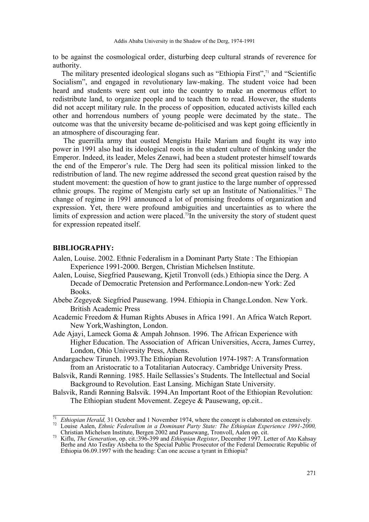to be against the cosmological order, disturbing deep cultural strands of reverence for authority.

The military presented ideological slogans such as "Ethiopia First",<sup>71</sup> and "Scientific Socialism", and engaged in revolutionary law-making. The student voice had been heard and students were sent out into the country to make an enormous effort to redistribute land, to organize people and to teach them to read. However, the students did not accept military rule. In the process of opposition, educated activists killed each other and horrendous numbers of young people were decimated by the state.. The outcome was that the university became de-politicised and was kept going efficiently in an atmosphere of discouraging fear.

 The guerrilla army that ousted Mengistu Haile Mariam and fought its way into power in 1991 also had its ideological roots in the student culture of thinking under the Emperor. Indeed, its leader, Meles Zenawi, had been a student protester himself towards the end of the Emperor's rule. The Derg had seen its political mission linked to the redistribution of land. The new regime addressed the second great question raised by the student movement: the question of how to grant justice to the large number of oppressed ethnic groups. The regime of Mengistu early set up an Institute of Nationalities.<sup>72</sup> The change of regime in 1991 announced a lot of promising freedoms of organization and expression. Yet, there were profound ambiguities and uncertainties as to where the limits of expression and action were placed.<sup>73</sup>In the university the story of student quest for expression repeated itself.

# **BIBLIOGRAPHY:**

- Aalen, Louise. 2002. Ethnic Federalism in a Dominant Party State : The Ethiopian Experience 1991-2000. Bergen, Christian Michelsen Institute.
- Aalen, Louise, Siegfried Pausewang, Kjetil Tronvoll (eds.) Ethiopia since the Derg. A Decade of Democratic Pretension and Performance.London-new York: Zed Books.
- Abebe Zegeye& Siegfried Pausewang. 1994. Ethiopia in Change.London. New York. British Academic Press
- Academic Freedom & Human Rights Abuses in Africa 1991. An Africa Watch Report. New York,Washington, London.
- Ade Ajayi, Lameck Goma & Ampah Johnson. 1996. The African Experience with Higher Education. The Association of African Universities, Accra, James Currey, London, Ohio University Press, Athens.
- Andargachew Tiruneh. 1993.The Ethiopian Revolution 1974-1987: A Transformation from an Aristocratic to a Totalitarian Autocracy. Cambridge University Press.
- Balsvik, Randi Rønning. 1985. Haile Sellassies's Students. The Intellectual and Social Background to Revolution. East Lansing. Michigan State University.
- Balsvik, Randi Rønning Balsvik. 1994.An Important Root of the Ethiopian Revolution: The Ethiopian student Movement. Zegeye & Pausewang, op.cit..

<sup>&</sup>lt;sup>71</sup>*Ethiopian Herald,* 31 October and 1 November 1974, where the concept is elaborated on extensively.<br><sup>72</sup> Louise Aalen, *Ethnic Federalism in a Dominant Party State: The Ethiopian Experience 1991-2000,*<br>Christian Michel

<sup>&</sup>lt;sup>73</sup> Kiflu, *The Generation*, op. cit.:396-399 and *Ethiopian Register*, December 1997. Letter of Ato Kahsay Berhe and Ato Tesfay Atsbeha to the Special Public Prosecutor of the Federal Democratic Republic of Ethiopia 06.09.1997 with the heading: Can one accuse a tyrant in Ethiopia?